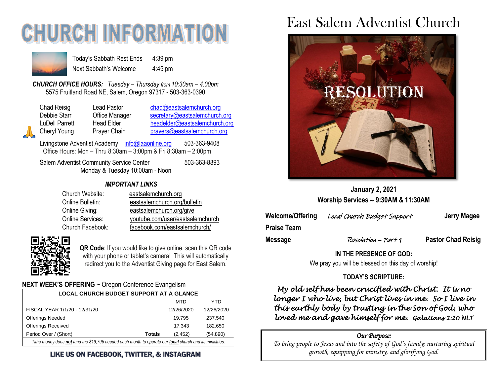# **CHURCH INFORMATI**



Today's Sabbath Rest Ends 4:39 pm Next Sabbath's Welcome 4:45 pm

*CHURCH OFFICE HOURS: Tuesday – Thursday from 10:30am – 4:00pm* 5575 Fruitland Road NE, Salem, Oregon 97317 - 503-363-0390

| Chad Reisig    |  |
|----------------|--|
| Debbie Starr   |  |
| LuDell Parrett |  |
| Cheryl Young   |  |
|                |  |

Lead Pastor [chad@eastsalemchurch.org](mailto:chad@eastsalemchurch.org) Office Manager [secretary@eastsalemchurch.org](mailto:secretary@eastsalemchurch.org) Head Elder [headelder@eastsalemchurch.org](mailto:headelder@eastsalemchurch.org) Prayer Chain [prayers@eastsalemchurch.org](mailto:prayers@eastsalemchurch.org)

Livingstone Adventist Academy [info@laaonline.org](mailto:info@laaonline.org) 503-363-9408 Office Hours: Mon – Thru 8:30am – 3:00pm & Fri 8:30am – 2:00pm

Salem Adventist Community Service Center 503-363-8893 Monday & Tuesday 10:00am - Noon

#### *IMPORTANT LINKS*

| Church Website:  | eastsalemchurch.org              |
|------------------|----------------------------------|
| Online Bulletin: | eastsalemchurch.org/bulletin     |
| Online Giving:   | eastsalemchurch.org/give         |
| Online Services: | youtube.com/user/eastsalemchurch |
| Church Facebook: | facebook.com/eastsalemchurch/    |



**QR Code**: If you would like to give online, scan this QR code with your phone or tablet's camera! This will automatically redirect you to the Adventist Giving page for East Salem.

#### **NEXT WEEK'S OFFERING** ~ Oregon Conference Evangelism

| <b>LOCAL CHURCH BUDGET SUPPORT AT A GLANCE</b>                                                           |                           |            |  |
|----------------------------------------------------------------------------------------------------------|---------------------------|------------|--|
|                                                                                                          | MTD                       | YTD        |  |
| FISCAL YEAR 1/1/20 - 12/31/20                                                                            | 12/26/2020                | 12/26/2020 |  |
| <b>Offerings Needed</b>                                                                                  | 19.795                    | 237,540    |  |
| <b>Offerings Received</b>                                                                                | 17.343                    | 182,650    |  |
| Period Over / (Short)                                                                                    | (2, 452)<br><b>Totals</b> | (54,890)   |  |
| Tithe money does not fund the \$19,795 needed each month to operate our local church and its ministries. |                           |            |  |

#### LIKE US ON FACEBOOK, TWITTER, & INSTAGRAM

## East Salem Adventist Church



**January 2, 2021 Worship Services 9:30AM & 11:30AM**

**Welcome/Offering** Local Church Budget Support **Jerry Magee**

**Praise Team**

**Message Resolution – Part 1 Pastor Chad Reisig** 

**IN THE PRESENCE OF GOD:** 

We pray you will be blessed on this day of worship!

#### **TODAY'S SCRIPTURE:**

*My old self has been crucified with Christ. It is no longer I who live, but Christ lives in me. So I live in this earthly body by trusting in the Son of God, who loved me and gave himself for me. Galatians 2:20 NLT* 

#### *Our Purpose:*

*To bring people to Jesus and into the safety of God's family; nurturing spiritual growth, equipping for ministry, and glorifying God.*